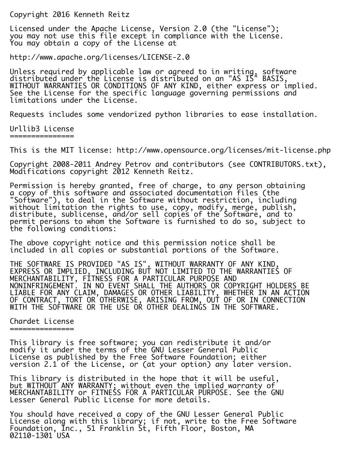Copyright 2016 Kenneth Reitz

Licensed under the Apache License, Version 2.0 (the "License"); you may not use this file except in compliance with the License. You may obtain a copy of the License at

http://www.apache.org/licenses/LICENSE-2.0

Unless required by applicable law or agreed to in writing, software distributed under the License is distributed on an "AS IS" BASIS, WITHOUT WARRANTIES OR CONDITIONS OF ANY KIND, either express or implied. See the License for the specific language governing permissions and limitations under the License.

Requests includes some vendorized python libraries to ease installation.

## Urllib3 License

===============

This is the MIT license: http://www.opensource.org/licenses/mit-license.php

Copyright 2008-2011 Andrey Petrov and contributors (see CONTRIBUTORS.txt), Modifications copyright 2012 Kenneth Reitz.

Permission is hereby granted, free of charge, to any person obtaining a copy of this software and associated documentation files (the "Software"), to deal in the Software without restriction, including without limitation the rights to use, copy, modify, merge, publish, distribute, sublicense, and/or sell copies of the Software, and to permit persons to whom the Software is furnished to do so, subject to the following conditions:

The above copyright notice and this permission notice shall be included in all copies or substantial portions of the Software.

THE SOFTWARE IS PROVIDED "AS IS", WITHOUT WARRANTY OF ANY KIND, EXPRESS OR IMPLIED, INCLUDING BUT NOT LIMITED TO THE WARRANTIES OF MERCHANTABILITY, FITNESS FOR A PARTICULAR PURPOSE AND NONINFRINGEMENT. IN NO EVENT SHALL THE AUTHORS OR COPYRIGHT HOLDERS BE LIABLE FOR ANY CLAIM, DAMAGES OR OTHER LIABILITY, WHETHER IN AN ACTION OF CONTRACT, TORT OR OTHERWISE, ARISING FROM, OUT OF OR IN CONNECTION WITH THE SOFTWARE OR THE USE OR OTHER DEALINGS IN THE SOFTWARE.

## Chardet License ===============

This library is free software; you can redistribute it and/or modify it under the terms of the GNU Lesser General Public License as published by the Free Software Foundation; either version 2.1 of the License, or (at your option) any later version.

This library is distributed in the hope that it will be useful, but WITHOUT ANY WARRANTY; without even the implied warranty of MERCHANTABILITY or FITNESS FOR A PARTICULAR PURPOSE. See the GNU Lesser General Public License for more details.

You should have received a copy of the GNU Lesser General Public License along with this library; if not, write to the Free Software Foundation, Inc., 51 Franklin St, Fifth Floor, Boston, MA 02110-1301 USA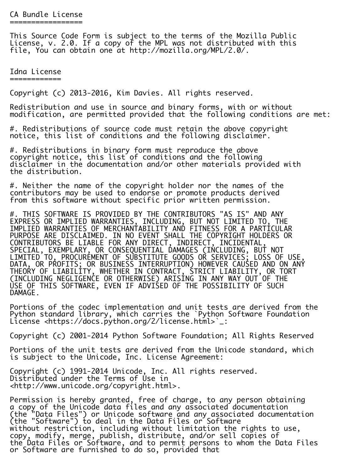This Source Code Form is subject to the terms of the Mozilla Public License, v. 2.0. If a copy of the MPL was not distributed with this file, You can obtain one at http://mozilla.org/MPL/2.0/.

Idna License ============

Copyright (c) 2013-2016, Kim Davies. All rights reserved.

Redistribution and use in source and binary forms, with or without modification, are permitted provided that the following conditions are met:

#. Redistributions of source code must retain the above copyright notice, this list of conditions and the following disclaimer.

#. Redistributions in binary form must reproduce the above copyright notice, this list of conditions and the following disclaimer in the documentation and/or other materials provided with the distribution.

#. Neither the name of the copyright holder nor the names of the contributors may be used to endorse or promote products derived from this software without specific prior written permission.

#. THIS SOFTWARE IS PROVIDED BY THE CONTRIBUTORS "AS IS" AND ANY EXPRESS OR IMPLIED WARRANTIES, INCLUDING, BUT NOT LIMITED TO, THE IMPLIED WARRANTIES OF MERCHANTABILITY AND FITNESS FOR A PARTICULAR PURPOSE ARE DISCLAIMED. IN NO EVENT SHALL THE COPYRIGHT HOLDERS OR CONTRIBUTORS BE LIABLE FOR ANY DIRECT, INDIRECT, INCIDENTAL, SPECIAL, EXEMPLARY, OR CONSEQUENTIAL DAMAGES (INCLUDING, BUT NOT LIMITED TO, PROCUREMENT OF SUBSTITUTE GOODS OR SERVICES; LOSS OF USE, DATA, OR PROFITS; OR BUSINESS INTERRUPTION) HOWEVER CAUSED AND ON ANY THEORY OF LIABILITY, WHETHER IN CONTRACT, STRICT LIABILITY, OR TORT (INCLUDING NEGLIGENCE OR OTHERWISE) ARISING IN ANY WAY OUT OF THE USE OF THIS SOFTWARE, EVEN IF ADVISED OF THE POSSIBILITY OF SUCH DAMAGE.

Portions of the codec implementation and unit tests are derived from the Python standard library, which carries the `Python Software Foundation License <https://docs.python.org/2/license.html>`\_:

Copyright (c) 2001-2014 Python Software Foundation; All Rights Reserved

Portions of the unit tests are derived from the Unicode standard, which is subject to the Unicode, Inc. License Agreement:

Copyright (c) 1991-2014 Unicode, Inc. All rights reserved. Distributed under the Terms of Use in <http://www.unicode.org/copyright.html>.

Permission is hereby granted, free of charge, to any person obtaining a copy of the Unicode data files and any associated documentation (the "Data Files") or Unicode software and any associated documentation (the "Software") to deal in the Data Files or Software without restriction, including without limitation the rights to use, copy, modify, merge, publish, distribute, and/or sell copies of the Data Files or Software, and to permit persons to whom the Data Files or Software are furnished to do so, provided that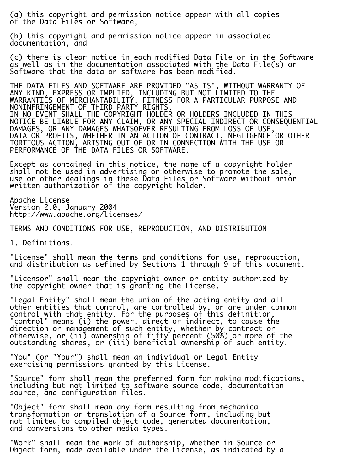(a) this copyright and permission notice appear with all copies of the Data Files or Software,

(b) this copyright and permission notice appear in associated documentation, and

(c) there is clear notice in each modified Data File or in the Software as well as in the documentation associated with the Data File(s) or Software that the data or software has been modified.

THE DATA FILES AND SOFTWARE ARE PROVIDED "AS IS", WITHOUT WARRANTY OF ANY KIND, EXPRESS OR IMPLIED, INCLUDING BUT NOT LIMITED TO THE WARRANTIES OF MERCHANTABILITY, FITNESS FOR A PARTICULAR PURPOSE AND NONINFRINGEMENT OF THIRD PARTY RIGHTS. IN NO EVENT SHALL THE COPYRIGHT HOLDER OR HOLDERS INCLUDED IN THIS NOTICE BE LIABLE FOR ANY CLAIM, OR ANY SPECIAL INDIRECT OR CONSEQUENTIAL DAMAGES, OR ANY DAMAGES WHATSOEVER RESULTING FROM LOSS OF USE, DATA OR PROFITS, WHETHER IN AN ACTION OF CONTRACT, NEGLIGENCE OR OTHER TORTIOUS ACTION, ARISING OUT OF OR IN CONNECTION WITH THE USE OR PERFORMANCE OF THE DATA FILES OR SOFTWARE.

Except as contained in this notice, the name of a copyright holder shall not be used in advertising or otherwise to promote the sale, use or other dealings in these Data Files or Software without prior written authorization of the copyright holder.

Apache License Version 2.0, January 2004 http://www.apache.org/licenses/

TERMS AND CONDITIONS FOR USE, REPRODUCTION, AND DISTRIBUTION

1. Definitions.

"License" shall mean the terms and conditions for use, reproduction, and distribution as defined by Sections 1 through 9 of this document.

"Licensor" shall mean the copyright owner or entity authorized by the copyright owner that is granting the License.

"Legal Entity" shall mean the union of the acting entity and all other entities that control, are controlled by, or are under common control with that entity. For the purposes of this definition, "control" means (i) the power, direct or indirect, to cause the direction or management of such entity, whether by contract or otherwise, or (ii) ownership of fifty percent (50%) or more of the outstanding shares, or (iii) beneficial ownership of such entity.

"You" (or "Your") shall mean an individual or Legal Entity exercising permissions granted by this License.

"Source" form shall mean the preferred form for making modifications, including but not limited to software source code, documentation source, and configuration files.

"Object" form shall mean any form resulting from mechanical transformation or translation of a Source form, including but not limited to compiled object code, generated documentation, and conversions to other media types.

"Work" shall mean the work of authorship, whether in Source or Object form, made available under the License, as indicated by a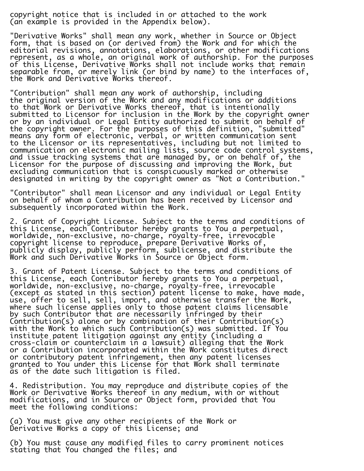copyright notice that is included in or attached to the work (an example is provided in the Appendix below).

"Derivative Works" shall mean any work, whether in Source or Object form, that is based on (or derived from) the Work and for which the editorial revisions, annotations, elaborations, or other modifications represent, as a whole, an original work of authorship. For the purposes of this License, Derivative Works shall not include works that remain separable from, or merely link (or bind by name) to the interfaces of, the Work and Derivative Works thereof.

"Contribution" shall mean any work of authorship, including the original version of the Work and any modifications or additions to that Work or Derivative Works thereof, that is intentionally submitted to Licensor for inclusion in the Work by the copyright owner or by an individual or Legal Entity authorized to submit on behalf of the copyright owner. For the purposes of this definition, "submitted" means any form of electronic, verbal, or written communication sent to the Licensor or its representatives, including but not limited to communication on electronic mailing lists, source code control systems, and issue tracking systems that are managed by, or on behalf of, the Licensor for the purpose of discussing and improving the Work, but excluding communication that is conspicuously marked or otherwise designated in writing by the copyright owner as "Not a Contribution."

"Contributor" shall mean Licensor and any individual or Legal Entity on behalf of whom a Contribution has been received by Licensor and subsequently incorporated within the Work.

2. Grant of Copyright License. Subject to the terms and conditions of this License, each Contributor hereby grants to You a perpetual, worldwide, non-exclusive, no-charge, royalty-free, irrevocable copyright license to reproduce, prepare Derivative Works of, publicly display, publicly perform, sublicense, and distribute the Work and such Derivative Works in Source or Object form.

3. Grant of Patent License. Subject to the terms and conditions of this License, each Contributor hereby grants to You a perpetual, worldwide, non-exclusive, no-charge, royalty-free, irrevocable (except as stated in this section) patent license to make, have made, use, offer to sell, sell, import, and otherwise transfer the Work, where such license applies only to those patent claims licensable by such Contributor that are necessarily infringed by their Contribution(s) alone or by combination of their Contribution(s) with the Work to which such Contribution(s) was submitted. If You institute patent litigation against any entity (including a cross-claim or counterclaim in a lawsuit) alleging that the Work or a Contribution incorporated within the Work constitutes direct or contributory patent infringement, then any patent licenses granted to You under this License for that Work shall terminate as of the date such litigation is filed.

4. Redistribution. You may reproduce and distribute copies of the Work or Derivative Works thereof in any medium, with or without modifications, and in Source or Object form, provided that You meet the following conditions:

(a) You must give any other recipients of the Work or Derivative Works a copy of this License; and

(b) You must cause any modified files to carry prominent notices stating that You changed the files; and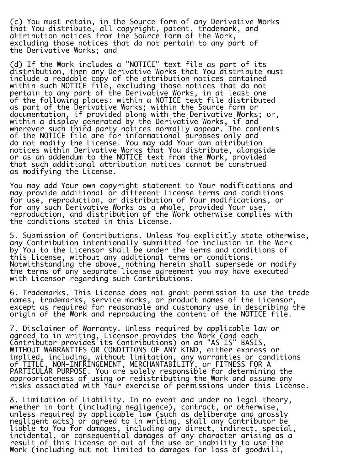(c) You must retain, in the Source form of any Derivative Works that You distribute, all copyright, patent, trademark, and attribution notices from the Source form of the Work, excluding those notices that do not pertain to any part of the Derivative Works; and

(d) If the Work includes a "NOTICE" text file as part of its distribution, then any Derivative Works that You distribute must include a readable copy of the attribution notices contained within such NOTICE file, excluding those notices that do not pertain to any part of the Derivative Works, in at least one of the following places: within a NOTICE text file distributed as part of the Derivative Works; within the Source form or documentation, if provided along with the Derivative Works; or, within a display generated by the Derivative Works, if and wherever such third-party notices normally appear. The contents of the NOTICE file are for informational purposes only and do not modify the License. You may add Your own attribution notices within Derivative Works that You distribute, alongside or as an addendum to the NOTICE text from the Work, provided that such additional attribution notices cannot be construed as modifying the License.

You may add Your own copyright statement to Your modifications and may provide additional or different license terms and conditions for use, reproduction, or distribution of Your modifications, or for any such Derivative Works as a whole, provided Your use, reproduction, and distribution of the Work otherwise complies with the conditions stated in this License.

5. Submission of Contributions. Unless You explicitly state otherwise, any Contribution intentionally submitted for inclusion in the Work by You to the Licensor shall be under the terms and conditions of this License, without any additional terms or conditions. Notwithstanding the above, nothing herein shall supersede or modify the terms of any separate license agreement you may have executed with Licensor regarding such Contributions.

6. Trademarks. This License does not grant permission to use the trade names, trademarks, service marks, or product names of the Licensor, except as required for reasonable and customary use in describing the origin of the Work and reproducing the content of the NOTICE file.

7. Disclaimer of Warranty. Unless required by applicable law or agreed to in writing, Licensor provides the Work (and each Contributor provides its Contributions) on an "AS IS" BASIS, WITHOUT WARRANTIES OR CONDITIONS OF ANY KIND, either express or implied, including, without limitation, any warranties or conditions of TITLE, NON-INFRINGEMENT, MERCHANTABILITY, or FITNESS FOR A PARTICULAR PURPOSE. You are solely responsible for determining the appropriateness of using or redistributing the Work and assume any risks associated with Your exercise of permissions under this License.

8. Limitation of Liability. In no event and under no legal theory, whether in tort (including negligence), contract, or otherwise, unless required by applicable law (such as deliberate and grossly negligent acts) or agreed to in writing, shall any Contributor be liable to You for damages, including any direct, indirect, special, incidental, or consequential damages of any character arising as a result of this License or out of the use or inability to use the Work (including but not limited to damages for loss of goodwill,